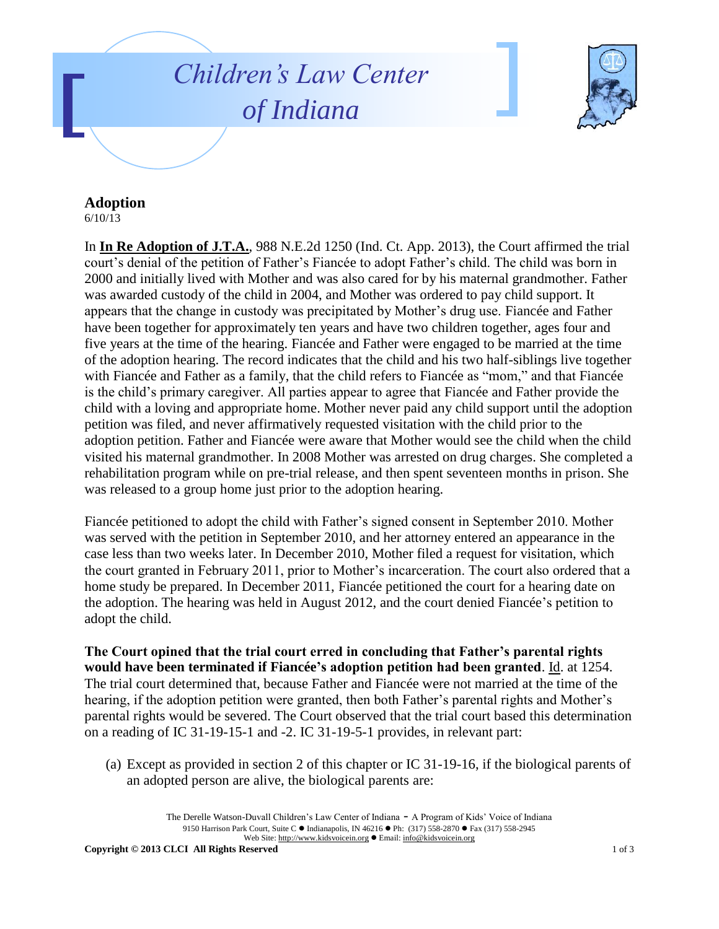## *Children's Law Center of Indiana*



## **Adoption**

6/10/13

In **In Re Adoption of J.T.A.**, 988 N.E.2d 1250 (Ind. Ct. App. 2013), the Court affirmed the trial court's denial of the petition of Father's Fiancée to adopt Father's child. The child was born in 2000 and initially lived with Mother and was also cared for by his maternal grandmother. Father was awarded custody of the child in 2004, and Mother was ordered to pay child support. It appears that the change in custody was precipitated by Mother's drug use. Fiancée and Father have been together for approximately ten years and have two children together, ages four and five years at the time of the hearing. Fiancée and Father were engaged to be married at the time of the adoption hearing. The record indicates that the child and his two half-siblings live together with Fiancée and Father as a family, that the child refers to Fiancée as "mom," and that Fiancée is the child's primary caregiver. All parties appear to agree that Fiancée and Father provide the child with a loving and appropriate home. Mother never paid any child support until the adoption petition was filed, and never affirmatively requested visitation with the child prior to the adoption petition. Father and Fiancée were aware that Mother would see the child when the child visited his maternal grandmother. In 2008 Mother was arrested on drug charges. She completed a rehabilitation program while on pre-trial release, and then spent seventeen months in prison. She was released to a group home just prior to the adoption hearing.

Fiancée petitioned to adopt the child with Father's signed consent in September 2010. Mother was served with the petition in September 2010, and her attorney entered an appearance in the case less than two weeks later. In December 2010, Mother filed a request for visitation, which the court granted in February 2011, prior to Mother's incarceration. The court also ordered that a home study be prepared. In December 2011, Fiancée petitioned the court for a hearing date on the adoption. The hearing was held in August 2012, and the court denied Fiancée's petition to adopt the child.

**The Court opined that the trial court erred in concluding that Father's parental rights would have been terminated if Fiancée's adoption petition had been granted**. Id. at 1254. The trial court determined that, because Father and Fiancée were not married at the time of the hearing, if the adoption petition were granted, then both Father's parental rights and Mother's parental rights would be severed. The Court observed that the trial court based this determination on a reading of IC 31-19-15-1 and -2. IC 31-19-5-1 provides, in relevant part:

(a) Except as provided in section 2 of this chapter or IC 31-19-16, if the biological parents of an adopted person are alive, the biological parents are:

> The Derelle Watson-Duvall Children's Law Center of Indiana - A Program of Kids' Voice of Indiana 9150 Harrison Park Court, Suite C · Indianapolis, IN 46216 · Ph: (317) 558-2870 · Fax (317) 558-2945 Web Site: http://www.kidsvoicein.org · Email: info@kidsvoicein.org

**Copyright © 2013 CLCI All Rights Reserved** 1 of 3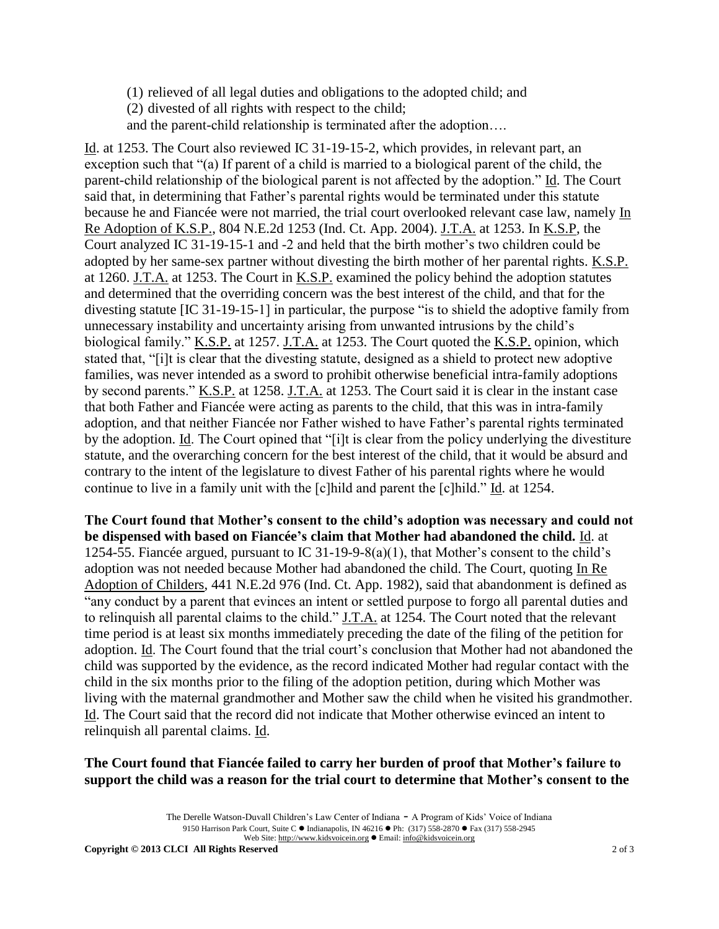- (1) relieved of all legal duties and obligations to the adopted child; and
- (2) divested of all rights with respect to the child;
- and the parent-child relationship is terminated after the adoption….

Id. at 1253. The Court also reviewed IC 31-19-15-2, which provides, in relevant part, an exception such that "(a) If parent of a child is married to a biological parent of the child, the parent-child relationship of the biological parent is not affected by the adoption." Id. The Court said that, in determining that Father's parental rights would be terminated under this statute because he and Fiancée were not married, the trial court overlooked relevant case law, namely In Re Adoption of K.S.P., 804 N.E.2d 1253 (Ind. Ct. App. 2004). J.T.A. at 1253. In K.S.P, the Court analyzed IC 31-19-15-1 and -2 and held that the birth mother's two children could be adopted by her same-sex partner without divesting the birth mother of her parental rights. K.S.P. at 1260. J.T.A. at 1253. The Court in K.S.P. examined the policy behind the adoption statutes and determined that the overriding concern was the best interest of the child, and that for the divesting statute [IC 31-19-15-1] in particular, the purpose "is to shield the adoptive family from unnecessary instability and uncertainty arising from unwanted intrusions by the child's biological family." K.S.P. at 1257. J.T.A. at 1253. The Court quoted the K.S.P. opinion, which stated that, "[i]t is clear that the divesting statute, designed as a shield to protect new adoptive families, was never intended as a sword to prohibit otherwise beneficial intra-family adoptions by second parents." K.S.P. at 1258. J.T.A. at 1253. The Court said it is clear in the instant case that both Father and Fiancée were acting as parents to the child, that this was in intra-family adoption, and that neither Fiancée nor Father wished to have Father's parental rights terminated by the adoption. Id. The Court opined that "[i]t is clear from the policy underlying the divestiture statute, and the overarching concern for the best interest of the child, that it would be absurd and contrary to the intent of the legislature to divest Father of his parental rights where he would continue to live in a family unit with the [c]hild and parent the [c]hild." Id. at 1254.

**The Court found that Mother's consent to the child's adoption was necessary and could not be dispensed with based on Fiancée's claim that Mother had abandoned the child.** Id. at 1254-55. Fiancée argued, pursuant to IC 31-19-9-8(a)(1), that Mother's consent to the child's adoption was not needed because Mother had abandoned the child. The Court, quoting In Re Adoption of Childers, 441 N.E.2d 976 (Ind. Ct. App. 1982), said that abandonment is defined as "any conduct by a parent that evinces an intent or settled purpose to forgo all parental duties and to relinquish all parental claims to the child." J.T.A. at 1254. The Court noted that the relevant time period is at least six months immediately preceding the date of the filing of the petition for adoption. Id. The Court found that the trial court's conclusion that Mother had not abandoned the child was supported by the evidence, as the record indicated Mother had regular contact with the child in the six months prior to the filing of the adoption petition, during which Mother was living with the maternal grandmother and Mother saw the child when he visited his grandmother. Id. The Court said that the record did not indicate that Mother otherwise evinced an intent to relinquish all parental claims. Id.

## **The Court found that Fiancée failed to carry her burden of proof that Mother's failure to support the child was a reason for the trial court to determine that Mother's consent to the**

The Derelle Watson-Duvall Children's Law Center of Indiana - A Program of Kids' Voice of Indiana 9150 Harrison Park Court, Suite C · Indianapolis, IN 46216 · Ph: (317) 558-2870 · Fax (317) 558-2945 Web Site: http://www.kidsvoicein.org · Email: info@kidsvoicein.org